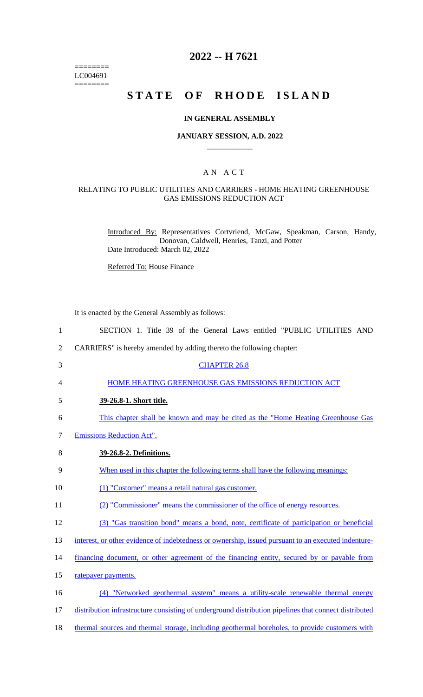======== LC004691  $=$ 

# **2022 -- H 7621**

# **STATE OF RHODE ISLAND**

#### **IN GENERAL ASSEMBLY**

#### **JANUARY SESSION, A.D. 2022 \_\_\_\_\_\_\_\_\_\_\_\_**

#### A N A C T

### RELATING TO PUBLIC UTILITIES AND CARRIERS - HOME HEATING GREENHOUSE GAS EMISSIONS REDUCTION ACT

Introduced By: Representatives Cortvriend, McGaw, Speakman, Carson, Handy, Donovan, Caldwell, Henries, Tanzi, and Potter Date Introduced: March 02, 2022

Referred To: House Finance

It is enacted by the General Assembly as follows:

| $\mathbf{1}$   | SECTION 1. Title 39 of the General Laws entitled "PUBLIC UTILITIES AND                                |
|----------------|-------------------------------------------------------------------------------------------------------|
| $\overline{2}$ | CARRIERS" is hereby amended by adding thereto the following chapter:                                  |
| 3              | <b>CHAPTER 26.8</b>                                                                                   |
| 4              | HOME HEATING GREENHOUSE GAS EMISSIONS REDUCTION ACT                                                   |
| 5              | 39-26.8-1. Short title.                                                                               |
| 6              | This chapter shall be known and may be cited as the "Home Heating Greenhouse Gas                      |
| 7              | <b>Emissions Reduction Act".</b>                                                                      |
| 8              | 39-26.8-2. Definitions.                                                                               |
| 9              | When used in this chapter the following terms shall have the following meanings:                      |
| 10             | (1) "Customer" means a retail natural gas customer.                                                   |
| 11             | (2) "Commissioner" means the commissioner of the office of energy resources.                          |
| 12             | (3) "Gas transition bond" means a bond, note, certificate of participation or beneficial              |
| 13             | interest, or other evidence of indebtedness or ownership, issued pursuant to an executed indenture-   |
| 14             | financing document, or other agreement of the financing entity, secured by or payable from            |
| 15             | ratepayer payments.                                                                                   |
| 16             | (4) "Networked geothermal system" means a utility-scale renewable thermal energy                      |
| 17             | distribution infrastructure consisting of underground distribution pipelines that connect distributed |
| 18             | thermal sources and thermal storage, including geothermal boreholes, to provide customers with        |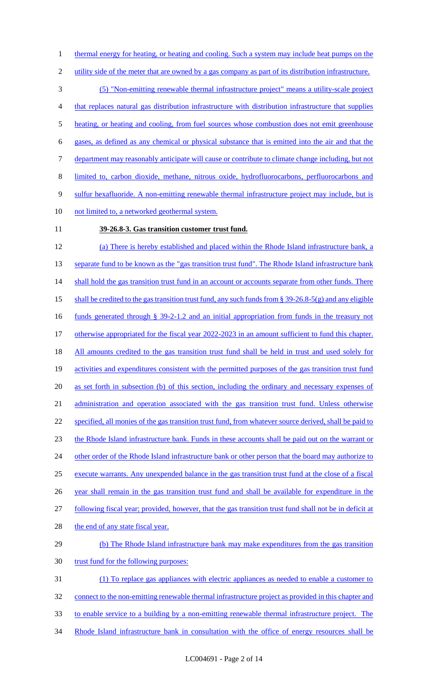utility side of the meter that are owned by a gas company as part of its distribution infrastructure. (5) "Non-emitting renewable thermal infrastructure project" means a utility-scale project that replaces natural gas distribution infrastructure with distribution infrastructure that supplies 5 heating, or heating and cooling, from fuel sources whose combustion does not emit greenhouse gases, as defined as any chemical or physical substance that is emitted into the air and that the department may reasonably anticipate will cause or contribute to climate change including, but not limited to, carbon dioxide, methane, nitrous oxide, hydrofluorocarbons, perfluorocarbons and 9 sulfur hexafluoride. A non-emitting renewable thermal infrastructure project may include, but is 10 not limited to, a networked geothermal system.

1 thermal energy for heating, or heating and cooling. Such a system may include heat pumps on the

### **39-26.8-3. Gas transition customer trust fund.**

 (a) There is hereby established and placed within the Rhode Island infrastructure bank, a 13 separate fund to be known as the "gas transition trust fund". The Rhode Island infrastructure bank 14 shall hold the gas transition trust fund in an account or accounts separate from other funds. There shall be credited to the gas transition trust fund, any such funds from § 39-26.8-5(g) and any eligible funds generated through § 39-2-1.2 and an initial appropriation from funds in the treasury not 17 otherwise appropriated for the fiscal year 2022-2023 in an amount sufficient to fund this chapter. All amounts credited to the gas transition trust fund shall be held in trust and used solely for activities and expenditures consistent with the permitted purposes of the gas transition trust fund as set forth in subsection (b) of this section, including the ordinary and necessary expenses of administration and operation associated with the gas transition trust fund. Unless otherwise specified, all monies of the gas transition trust fund, from whatever source derived, shall be paid to the Rhode Island infrastructure bank. Funds in these accounts shall be paid out on the warrant or 24 other order of the Rhode Island infrastructure bank or other person that the board may authorize to execute warrants. Any unexpended balance in the gas transition trust fund at the close of a fiscal year shall remain in the gas transition trust fund and shall be available for expenditure in the following fiscal year; provided, however, that the gas transition trust fund shall not be in deficit at 28 the end of any state fiscal year. 29 (b) The Rhode Island infrastructure bank may make expenditures from the gas transition 30 trust fund for the following purposes: (1) To replace gas appliances with electric appliances as needed to enable a customer to connect to the non-emitting renewable thermal infrastructure project as provided in this chapter and

- to enable service to a building by a non-emitting renewable thermal infrastructure project. The
- 34 Rhode Island infrastructure bank in consultation with the office of energy resources shall be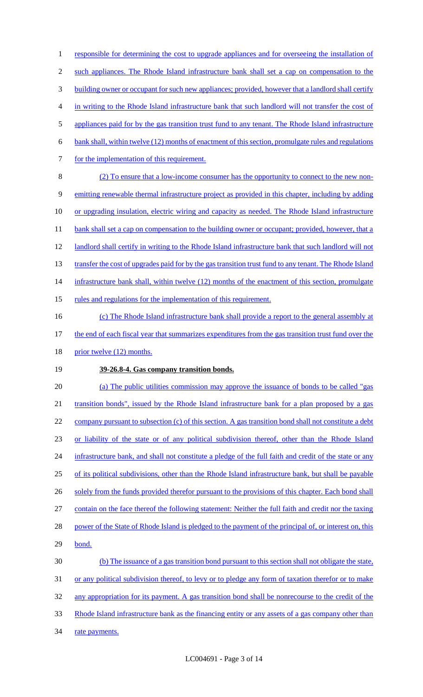1 responsible for determining the cost to upgrade appliances and for overseeing the installation of 2 such appliances. The Rhode Island infrastructure bank shall set a cap on compensation to the 3 building owner or occupant for such new appliances; provided, however that a landlord shall certify 4 in writing to the Rhode Island infrastructure bank that such landlord will not transfer the cost of 5 appliances paid for by the gas transition trust fund to any tenant. The Rhode Island infrastructure 6 bank shall, within twelve (12) months of enactment of this section, promulgate rules and regulations 7 for the implementation of this requirement. 8 (2) To ensure that a low-income consumer has the opportunity to connect to the new non-9 emitting renewable thermal infrastructure project as provided in this chapter, including by adding 10 or upgrading insulation, electric wiring and capacity as needed. The Rhode Island infrastructure 11 bank shall set a cap on compensation to the building owner or occupant; provided, however, that a 12 landlord shall certify in writing to the Rhode Island infrastructure bank that such landlord will not 13 transfer the cost of upgrades paid for by the gas transition trust fund to any tenant. The Rhode Island 14 infrastructure bank shall, within twelve (12) months of the enactment of this section, promulgate 15 rules and regulations for the implementation of this requirement. 16 (c) The Rhode Island infrastructure bank shall provide a report to the general assembly at

- 17 the end of each fiscal year that summarizes expenditures from the gas transition trust fund over the
- 18 prior twelve (12) months.

## 19 **39-26.8-4. Gas company transition bonds.**

20 (a) The public utilities commission may approve the issuance of bonds to be called "gas 21 transition bonds", issued by the Rhode Island infrastructure bank for a plan proposed by a gas 22 company pursuant to subsection (c) of this section. A gas transition bond shall not constitute a debt 23 or liability of the state or of any political subdivision thereof, other than the Rhode Island 24 infrastructure bank, and shall not constitute a pledge of the full faith and credit of the state or any 25 of its political subdivisions, other than the Rhode Island infrastructure bank, but shall be payable 26 solely from the funds provided therefor pursuant to the provisions of this chapter. Each bond shall 27 contain on the face thereof the following statement: Neither the full faith and credit nor the taxing 28 power of the State of Rhode Island is pledged to the payment of the principal of, or interest on, this 29 bond. 30 (b) The issuance of a gas transition bond pursuant to this section shall not obligate the state, 31 or any political subdivision thereof, to levy or to pledge any form of taxation therefor or to make 32 any appropriation for its payment. A gas transition bond shall be nonrecourse to the credit of the 33 Rhode Island infrastructure bank as the financing entity or any assets of a gas company other than

34 rate payments.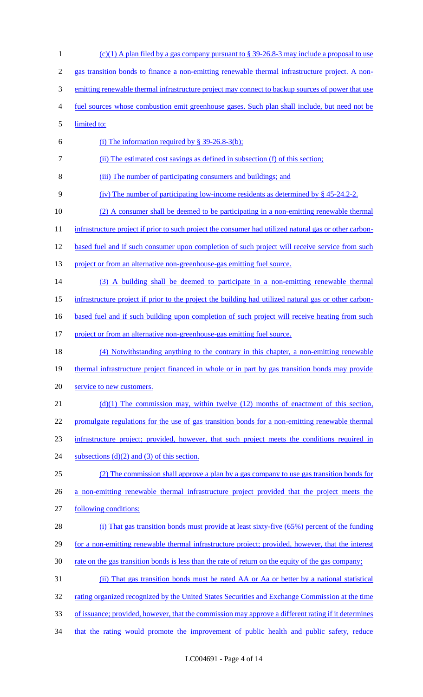1 (c)(1) A plan filed by a gas company pursuant to § 39-26.8-3 may include a proposal to use 2 gas transition bonds to finance a non-emitting renewable thermal infrastructure project. A non-3 emitting renewable thermal infrastructure project may connect to backup sources of power that use 4 fuel sources whose combustion emit greenhouse gases. Such plan shall include, but need not be 5 limited to: 6 (i) The information required by  $\S$  39-26.8-3(b); 7 (ii) The estimated cost savings as defined in subsection (f) of this section; 8 (iii) The number of participating consumers and buildings; and 9 (iv) The number of participating low-income residents as determined by § 45-24.2-2. 10 (2) A consumer shall be deemed to be participating in a non-emitting renewable thermal 11 infrastructure project if prior to such project the consumer had utilized natural gas or other carbon-12 based fuel and if such consumer upon completion of such project will receive service from such 13 project or from an alternative non-greenhouse-gas emitting fuel source. 14 (3) A building shall be deemed to participate in a non-emitting renewable thermal 15 infrastructure project if prior to the project the building had utilized natural gas or other carbon-16 based fuel and if such building upon completion of such project will receive heating from such 17 project or from an alternative non-greenhouse-gas emitting fuel source. 18 (4) Notwithstanding anything to the contrary in this chapter, a non-emitting renewable 19 thermal infrastructure project financed in whole or in part by gas transition bonds may provide 20 service to new customers. 21 (d)(1) The commission may, within twelve (12) months of enactment of this section, 22 promulgate regulations for the use of gas transition bonds for a non-emitting renewable thermal 23 infrastructure project; provided, however, that such project meets the conditions required in 24 subsections  $(d)(2)$  and  $(3)$  of this section. 25 (2) The commission shall approve a plan by a gas company to use gas transition bonds for 26 a non-emitting renewable thermal infrastructure project provided that the project meets the 27 following conditions: 28 (i) That gas transition bonds must provide at least sixty-five (65%) percent of the funding 29 for a non-emitting renewable thermal infrastructure project; provided, however, that the interest 30 rate on the gas transition bonds is less than the rate of return on the equity of the gas company; 31 (ii) That gas transition bonds must be rated AA or Aa or better by a national statistical 32 rating organized recognized by the United States Securities and Exchange Commission at the time 33 of issuance; provided, however, that the commission may approve a different rating if it determines 34 that the rating would promote the improvement of public health and public safety, reduce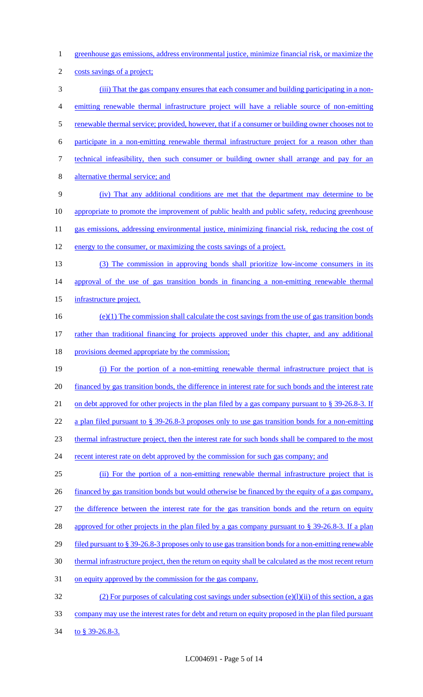- 1 greenhouse gas emissions, address environmental justice, minimize financial risk, or maximize the
- 2 costs savings of a project;
- 3 (iii) That the gas company ensures that each consumer and building participating in a non-4 emitting renewable thermal infrastructure project will have a reliable source of non-emitting 5 renewable thermal service; provided, however, that if a consumer or building owner chooses not to 6 participate in a non-emitting renewable thermal infrastructure project for a reason other than 7 technical infeasibility, then such consumer or building owner shall arrange and pay for an 8 alternative thermal service; and
- 9 (iv) That any additional conditions are met that the department may determine to be 10 appropriate to promote the improvement of public health and public safety, reducing greenhouse 11 gas emissions, addressing environmental justice, minimizing financial risk, reducing the cost of
- 12 energy to the consumer, or maximizing the costs savings of a project.
- 13 (3) The commission in approving bonds shall prioritize low-income consumers in its 14 approval of the use of gas transition bonds in financing a non-emitting renewable thermal
- 15 infrastructure project.
- $(e)(1)$  The commission shall calculate the cost savings from the use of gas transition bonds 17 rather than traditional financing for projects approved under this chapter, and any additional
- 18 provisions deemed appropriate by the commission;
- 19 (i) For the portion of a non-emitting renewable thermal infrastructure project that is 20 financed by gas transition bonds, the difference in interest rate for such bonds and the interest rate 21 on debt approved for other projects in the plan filed by a gas company pursuant to § 39-26.8-3. If 22 a plan filed pursuant to § 39-26.8-3 proposes only to use gas transition bonds for a non-emitting 23 thermal infrastructure project, then the interest rate for such bonds shall be compared to the most 24 recent interest rate on debt approved by the commission for such gas company; and
- 25 (ii) For the portion of a non-emitting renewable thermal infrastructure project that is
- 26 financed by gas transition bonds but would otherwise be financed by the equity of a gas company,
- 27 the difference between the interest rate for the gas transition bonds and the return on equity
- 28 approved for other projects in the plan filed by a gas company pursuant to § 39-26.8-3. If a plan
- 29 filed pursuant to § 39-26.8-3 proposes only to use gas transition bonds for a non-emitting renewable
- 30 thermal infrastructure project, then the return on equity shall be calculated as the most recent return
- 31 on equity approved by the commission for the gas company.
- 32 (2) For purposes of calculating cost savings under subsection (e)(l)(ii) of this section, a gas 33 company may use the interest rates for debt and return on equity proposed in the plan filed pursuant
- 34 to § 39-26.8-3.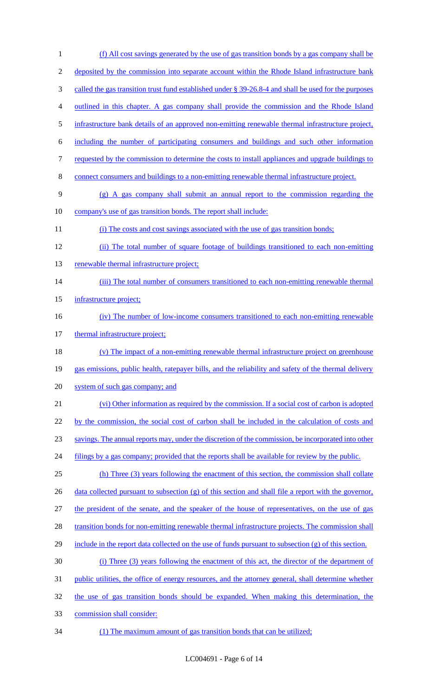| $\mathbf{1}$   | (f) All cost savings generated by the use of gas transition bonds by a gas company shall be              |
|----------------|----------------------------------------------------------------------------------------------------------|
| $\overline{2}$ | deposited by the commission into separate account within the Rhode Island infrastructure bank            |
| 3              | called the gas transition trust fund established under $\S 39-26.8-4$ and shall be used for the purposes |
| 4              | outlined in this chapter. A gas company shall provide the commission and the Rhode Island                |
| 5              | infrastructure bank details of an approved non-emitting renewable thermal infrastructure project,        |
| 6              | including the number of participating consumers and buildings and such other information                 |
| 7              | requested by the commission to determine the costs to install appliances and upgrade buildings to        |
| 8              | connect consumers and buildings to a non-emitting renewable thermal infrastructure project.              |
| 9              | $(g)$ A gas company shall submit an annual report to the commission regarding the                        |
| 10             | company's use of gas transition bonds. The report shall include:                                         |
| 11             | (i) The costs and cost savings associated with the use of gas transition bonds;                          |
| 12             | (ii) The total number of square footage of buildings transitioned to each non-emitting                   |
| 13             | renewable thermal infrastructure project;                                                                |
| 14             | (iii) The total number of consumers transitioned to each non-emitting renewable thermal                  |
| 15             | infrastructure project;                                                                                  |
| 16             | (iv) The number of low-income consumers transitioned to each non-emitting renewable                      |
| 17             | thermal infrastructure project;                                                                          |
| 18             | (v) The impact of a non-emitting renewable thermal infrastructure project on greenhouse                  |
| 19             | gas emissions, public health, ratepayer bills, and the reliability and safety of the thermal delivery    |
| 20             | system of such gas company; and                                                                          |
| 21             | (vi) Other information as required by the commission. If a social cost of carbon is adopted              |
| 22             | by the commission, the social cost of carbon shall be included in the calculation of costs and           |
| 23             | savings. The annual reports may, under the discretion of the commission, be incorporated into other      |
| 24             | filings by a gas company; provided that the reports shall be available for review by the public.         |
| 25             | (h) Three (3) years following the enactment of this section, the commission shall collate                |
| 26             | data collected pursuant to subsection $(g)$ of this section and shall file a report with the governor,   |
| 27             | the president of the senate, and the speaker of the house of representatives, on the use of gas          |
| 28             | transition bonds for non-emitting renewable thermal infrastructure projects. The commission shall        |
| 29             | include in the report data collected on the use of funds pursuant to subsection $(g)$ of this section.   |
| 30             | (i) Three (3) years following the enactment of this act, the director of the department of               |
| 31             | public utilities, the office of energy resources, and the attorney general, shall determine whether      |
| 32             | the use of gas transition bonds should be expanded. When making this determination, the                  |
| 33             | commission shall consider:                                                                               |
|                |                                                                                                          |

(1) The maximum amount of gas transition bonds that can be utilized;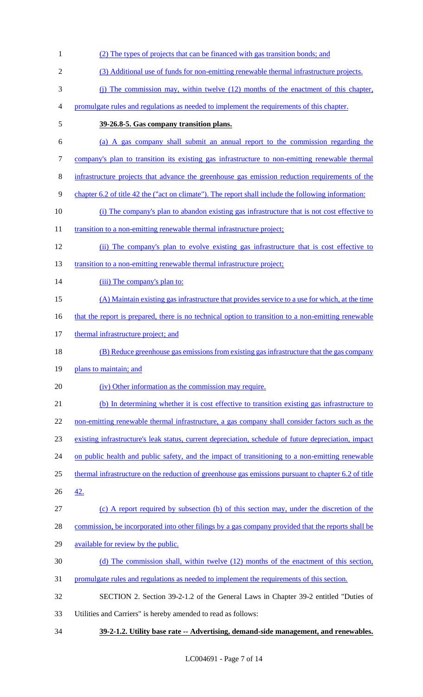- (2) The types of projects that can be financed with gas transition bonds; and (3) Additional use of funds for non-emitting renewable thermal infrastructure projects. (j) The commission may, within twelve (12) months of the enactment of this chapter, promulgate rules and regulations as needed to implement the requirements of this chapter. **39-26.8-5. Gas company transition plans.** (a) A gas company shall submit an annual report to the commission regarding the company's plan to transition its existing gas infrastructure to non-emitting renewable thermal infrastructure projects that advance the greenhouse gas emission reduction requirements of the chapter 6.2 of title 42 the ("act on climate"). The report shall include the following information: (i) The company's plan to abandon existing gas infrastructure that is not cost effective to 11 transition to a non-emitting renewable thermal infrastructure project; (ii) The company's plan to evolve existing gas infrastructure that is cost effective to 13 transition to a non-emitting renewable thermal infrastructure project; 14 (iii) The company's plan to: (A) Maintain existing gas infrastructure that provides service to a use for which, at the time 16 that the report is prepared, there is no technical option to transition to a non-emitting renewable 17 thermal infrastructure project; and (B) Reduce greenhouse gas emissions from existing gas infrastructure that the gas company 19 plans to maintain; and 20 (iv) Other information as the commission may require. (b) In determining whether it is cost effective to transition existing gas infrastructure to 22 non-emitting renewable thermal infrastructure, a gas company shall consider factors such as the existing infrastructure's leak status, current depreciation, schedule of future depreciation, impact 24 on public health and public safety, and the impact of transitioning to a non-emitting renewable thermal infrastructure on the reduction of greenhouse gas emissions pursuant to chapter 6.2 of title 42. (c) A report required by subsection (b) of this section may, under the discretion of the commission, be incorporated into other filings by a gas company provided that the reports shall be available for review by the public. (d) The commission shall, within twelve (12) months of the enactment of this section, promulgate rules and regulations as needed to implement the requirements of this section. SECTION 2. Section 39-2-1.2 of the General Laws in Chapter 39-2 entitled "Duties of Utilities and Carriers" is hereby amended to read as follows:
- **39-2-1.2. Utility base rate -- Advertising, demand-side management, and renewables.**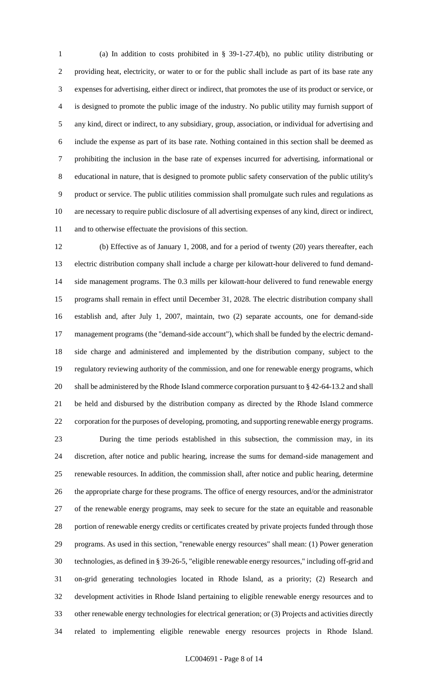(a) In addition to costs prohibited in § 39-1-27.4(b), no public utility distributing or providing heat, electricity, or water to or for the public shall include as part of its base rate any expenses for advertising, either direct or indirect, that promotes the use of its product or service, or is designed to promote the public image of the industry. No public utility may furnish support of any kind, direct or indirect, to any subsidiary, group, association, or individual for advertising and include the expense as part of its base rate. Nothing contained in this section shall be deemed as prohibiting the inclusion in the base rate of expenses incurred for advertising, informational or educational in nature, that is designed to promote public safety conservation of the public utility's product or service. The public utilities commission shall promulgate such rules and regulations as are necessary to require public disclosure of all advertising expenses of any kind, direct or indirect, and to otherwise effectuate the provisions of this section.

 (b) Effective as of January 1, 2008, and for a period of twenty (20) years thereafter, each electric distribution company shall include a charge per kilowatt-hour delivered to fund demand- side management programs. The 0.3 mills per kilowatt-hour delivered to fund renewable energy programs shall remain in effect until December 31, 2028. The electric distribution company shall establish and, after July 1, 2007, maintain, two (2) separate accounts, one for demand-side management programs (the "demand-side account"), which shall be funded by the electric demand- side charge and administered and implemented by the distribution company, subject to the regulatory reviewing authority of the commission, and one for renewable energy programs, which shall be administered by the Rhode Island commerce corporation pursuant to § 42-64-13.2 and shall be held and disbursed by the distribution company as directed by the Rhode Island commerce corporation for the purposes of developing, promoting, and supporting renewable energy programs.

 During the time periods established in this subsection, the commission may, in its discretion, after notice and public hearing, increase the sums for demand-side management and renewable resources. In addition, the commission shall, after notice and public hearing, determine the appropriate charge for these programs. The office of energy resources, and/or the administrator of the renewable energy programs, may seek to secure for the state an equitable and reasonable 28 portion of renewable energy credits or certificates created by private projects funded through those programs. As used in this section, "renewable energy resources" shall mean: (1) Power generation technologies, as defined in § 39-26-5, "eligible renewable energy resources," including off-grid and on-grid generating technologies located in Rhode Island, as a priority; (2) Research and development activities in Rhode Island pertaining to eligible renewable energy resources and to other renewable energy technologies for electrical generation; or (3) Projects and activities directly related to implementing eligible renewable energy resources projects in Rhode Island.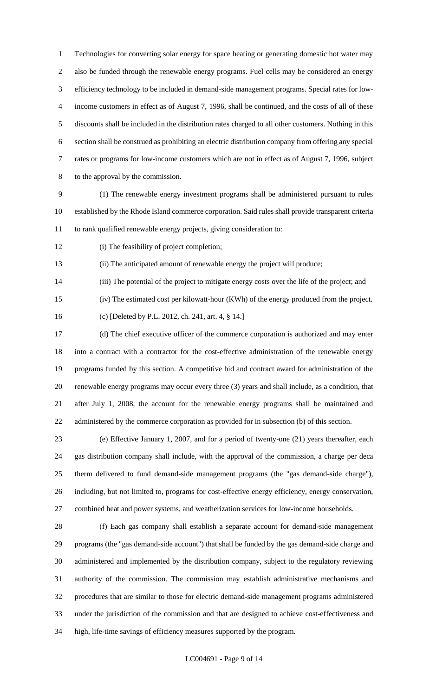Technologies for converting solar energy for space heating or generating domestic hot water may also be funded through the renewable energy programs. Fuel cells may be considered an energy efficiency technology to be included in demand-side management programs. Special rates for low- income customers in effect as of August 7, 1996, shall be continued, and the costs of all of these discounts shall be included in the distribution rates charged to all other customers. Nothing in this section shall be construed as prohibiting an electric distribution company from offering any special rates or programs for low-income customers which are not in effect as of August 7, 1996, subject to the approval by the commission.

 (1) The renewable energy investment programs shall be administered pursuant to rules established by the Rhode Island commerce corporation. Said rules shall provide transparent criteria to rank qualified renewable energy projects, giving consideration to:

(i) The feasibility of project completion;

(ii) The anticipated amount of renewable energy the project will produce;

(iii) The potential of the project to mitigate energy costs over the life of the project; and

(iv) The estimated cost per kilowatt-hour (KWh) of the energy produced from the project.

(c) [Deleted by P.L. 2012, ch. 241, art. 4, § 14.]

 (d) The chief executive officer of the commerce corporation is authorized and may enter into a contract with a contractor for the cost-effective administration of the renewable energy programs funded by this section. A competitive bid and contract award for administration of the renewable energy programs may occur every three (3) years and shall include, as a condition, that after July 1, 2008, the account for the renewable energy programs shall be maintained and administered by the commerce corporation as provided for in subsection (b) of this section.

 (e) Effective January 1, 2007, and for a period of twenty-one (21) years thereafter, each gas distribution company shall include, with the approval of the commission, a charge per deca therm delivered to fund demand-side management programs (the "gas demand-side charge"), including, but not limited to, programs for cost-effective energy efficiency, energy conservation, combined heat and power systems, and weatherization services for low-income households.

 (f) Each gas company shall establish a separate account for demand-side management programs (the "gas demand-side account") that shall be funded by the gas demand-side charge and administered and implemented by the distribution company, subject to the regulatory reviewing authority of the commission. The commission may establish administrative mechanisms and procedures that are similar to those for electric demand-side management programs administered under the jurisdiction of the commission and that are designed to achieve cost-effectiveness and high, life-time savings of efficiency measures supported by the program.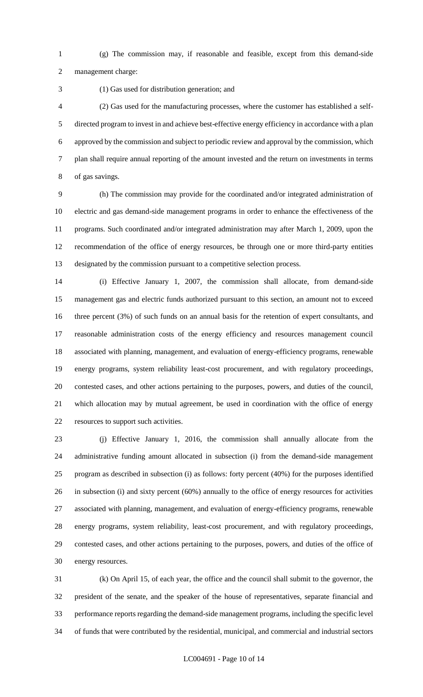(g) The commission may, if reasonable and feasible, except from this demand-side management charge:

(1) Gas used for distribution generation; and

 (2) Gas used for the manufacturing processes, where the customer has established a self- directed program to invest in and achieve best-effective energy efficiency in accordance with a plan approved by the commission and subject to periodic review and approval by the commission, which plan shall require annual reporting of the amount invested and the return on investments in terms of gas savings.

 (h) The commission may provide for the coordinated and/or integrated administration of electric and gas demand-side management programs in order to enhance the effectiveness of the programs. Such coordinated and/or integrated administration may after March 1, 2009, upon the recommendation of the office of energy resources, be through one or more third-party entities designated by the commission pursuant to a competitive selection process.

 (i) Effective January 1, 2007, the commission shall allocate, from demand-side management gas and electric funds authorized pursuant to this section, an amount not to exceed three percent (3%) of such funds on an annual basis for the retention of expert consultants, and reasonable administration costs of the energy efficiency and resources management council associated with planning, management, and evaluation of energy-efficiency programs, renewable energy programs, system reliability least-cost procurement, and with regulatory proceedings, contested cases, and other actions pertaining to the purposes, powers, and duties of the council, which allocation may by mutual agreement, be used in coordination with the office of energy resources to support such activities.

 (j) Effective January 1, 2016, the commission shall annually allocate from the administrative funding amount allocated in subsection (i) from the demand-side management program as described in subsection (i) as follows: forty percent (40%) for the purposes identified in subsection (i) and sixty percent (60%) annually to the office of energy resources for activities associated with planning, management, and evaluation of energy-efficiency programs, renewable energy programs, system reliability, least-cost procurement, and with regulatory proceedings, contested cases, and other actions pertaining to the purposes, powers, and duties of the office of energy resources.

 (k) On April 15, of each year, the office and the council shall submit to the governor, the president of the senate, and the speaker of the house of representatives, separate financial and performance reports regarding the demand-side management programs, including the specific level of funds that were contributed by the residential, municipal, and commercial and industrial sectors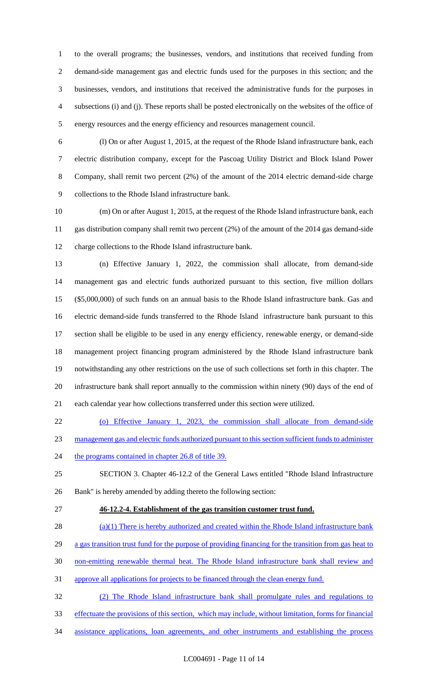to the overall programs; the businesses, vendors, and institutions that received funding from demand-side management gas and electric funds used for the purposes in this section; and the businesses, vendors, and institutions that received the administrative funds for the purposes in subsections (i) and (j). These reports shall be posted electronically on the websites of the office of energy resources and the energy efficiency and resources management council.

 (l) On or after August 1, 2015, at the request of the Rhode Island infrastructure bank, each electric distribution company, except for the Pascoag Utility District and Block Island Power Company, shall remit two percent (2%) of the amount of the 2014 electric demand-side charge collections to the Rhode Island infrastructure bank.

 (m) On or after August 1, 2015, at the request of the Rhode Island infrastructure bank, each gas distribution company shall remit two percent (2%) of the amount of the 2014 gas demand-side charge collections to the Rhode Island infrastructure bank.

 (n) Effective January 1, 2022, the commission shall allocate, from demand-side management gas and electric funds authorized pursuant to this section, five million dollars (\$5,000,000) of such funds on an annual basis to the Rhode Island infrastructure bank. Gas and electric demand-side funds transferred to the Rhode Island infrastructure bank pursuant to this section shall be eligible to be used in any energy efficiency, renewable energy, or demand-side management project financing program administered by the Rhode Island infrastructure bank notwithstanding any other restrictions on the use of such collections set forth in this chapter. The infrastructure bank shall report annually to the commission within ninety (90) days of the end of each calendar year how collections transferred under this section were utilized.

(o) Effective January 1, 2023, the commission shall allocate from demand-side

management gas and electric funds authorized pursuant to this section sufficient funds to administer

24 the programs contained in chapter 26.8 of title 39.

 SECTION 3. Chapter 46-12.2 of the General Laws entitled "Rhode Island Infrastructure Bank" is hereby amended by adding thereto the following section:

**46-12.2-4. Establishment of the gas transition customer trust fund.** 

(a)(1) There is hereby authorized and created within the Rhode Island infrastructure bank

- 29 a gas transition trust fund for the purpose of providing financing for the transition from gas heat to
- non-emitting renewable thermal heat. The Rhode Island infrastructure bank shall review and
- approve all applications for projects to be financed through the clean energy fund.

(2) The Rhode Island infrastructure bank shall promulgate rules and regulations to

- effectuate the provisions of this section, which may include, without limitation, forms for financial
- assistance applications, loan agreements, and other instruments and establishing the process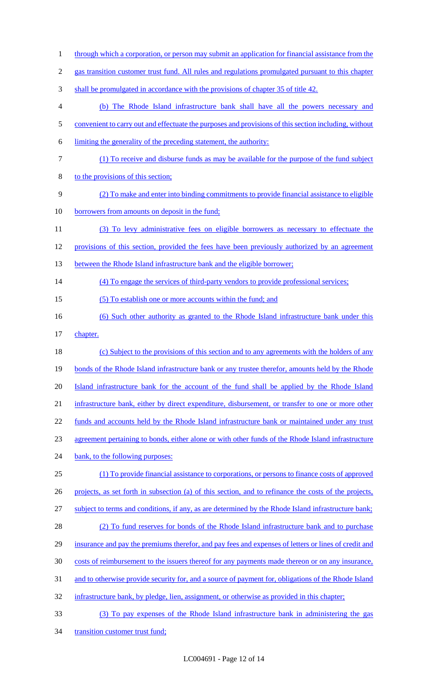- 1 through which a corporation, or person may submit an application for financial assistance from the 2 gas transition customer trust fund. All rules and regulations promulgated pursuant to this chapter 3 shall be promulgated in accordance with the provisions of chapter 35 of title 42. 4 (b) The Rhode Island infrastructure bank shall have all the powers necessary and 5 convenient to carry out and effectuate the purposes and provisions of this section including, without 6 limiting the generality of the preceding statement, the authority: 7 (1) To receive and disburse funds as may be available for the purpose of the fund subject 8 to the provisions of this section; 9 (2) To make and enter into binding commitments to provide financial assistance to eligible 10 borrowers from amounts on deposit in the fund; 11 (3) To levy administrative fees on eligible borrowers as necessary to effectuate the 12 provisions of this section, provided the fees have been previously authorized by an agreement 13 between the Rhode Island infrastructure bank and the eligible borrower; 14 (4) To engage the services of third-party vendors to provide professional services; 15 (5) To establish one or more accounts within the fund; and 16 (6) Such other authority as granted to the Rhode Island infrastructure bank under this 17 chapter. 18 (c) Subject to the provisions of this section and to any agreements with the holders of any 19 bonds of the Rhode Island infrastructure bank or any trustee therefor, amounts held by the Rhode 20 Island infrastructure bank for the account of the fund shall be applied by the Rhode Island 21 infrastructure bank, either by direct expenditure, disbursement, or transfer to one or more other 22 funds and accounts held by the Rhode Island infrastructure bank or maintained under any trust 23 agreement pertaining to bonds, either alone or with other funds of the Rhode Island infrastructure 24 bank, to the following purposes: 25 (1) To provide financial assistance to corporations, or persons to finance costs of approved 26 projects, as set forth in subsection (a) of this section, and to refinance the costs of the projects, 27 subject to terms and conditions, if any, as are determined by the Rhode Island infrastructure bank; 28 (2) To fund reserves for bonds of the Rhode Island infrastructure bank and to purchase 29 insurance and pay the premiums therefor, and pay fees and expenses of letters or lines of credit and 30 costs of reimbursement to the issuers thereof for any payments made thereon or on any insurance, 31 and to otherwise provide security for, and a source of payment for, obligations of the Rhode Island 32 infrastructure bank, by pledge, lien, assignment, or otherwise as provided in this chapter; 33 (3) To pay expenses of the Rhode Island infrastructure bank in administering the gas
- 34 transition customer trust fund;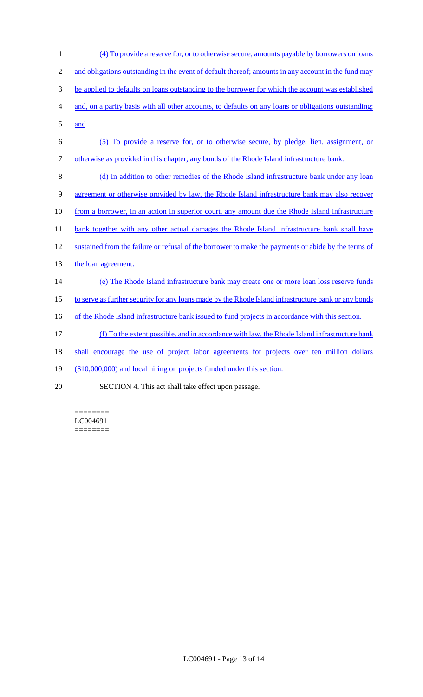| $\mathbf{1}$   | (4) To provide a reserve for, or to otherwise secure, amounts payable by borrowers on loans          |
|----------------|------------------------------------------------------------------------------------------------------|
| $\mathfrak{2}$ | and obligations outstanding in the event of default thereof; amounts in any account in the fund may  |
| 3              | be applied to defaults on loans outstanding to the borrower for which the account was established    |
| 4              | and, on a parity basis with all other accounts, to defaults on any loans or obligations outstanding; |
| 5              | and                                                                                                  |
| 6              | (5) To provide a reserve for, or to otherwise secure, by pledge, lien, assignment, or                |
| $\tau$         | otherwise as provided in this chapter, any bonds of the Rhode Island infrastructure bank.            |
| 8              | (d) In addition to other remedies of the Rhode Island infrastructure bank under any loan             |
| 9              | agreement or otherwise provided by law, the Rhode Island infrastructure bank may also recover        |
| 10             | from a borrower, in an action in superior court, any amount due the Rhode Island infrastructure      |
| 11             | bank together with any other actual damages the Rhode Island infrastructure bank shall have          |
| 12             | sustained from the failure or refusal of the borrower to make the payments or abide by the terms of  |
| 13             | the loan agreement.                                                                                  |
| 14             | (e) The Rhode Island infrastructure bank may create one or more loan loss reserve funds              |
| 15             | to serve as further security for any loans made by the Rhode Island infrastructure bank or any bonds |
| 16             | of the Rhode Island infrastructure bank issued to fund projects in accordance with this section.     |
| 17             | (f) To the extent possible, and in accordance with law, the Rhode Island infrastructure bank         |
| 18             | shall encourage the use of project labor agreements for projects over ten million dollars            |
| 19             | (\$10,000,000) and local hiring on projects funded under this section.                               |
| 20             | SECTION 4. This act shall take effect upon passage.                                                  |

======== LC004691 ========